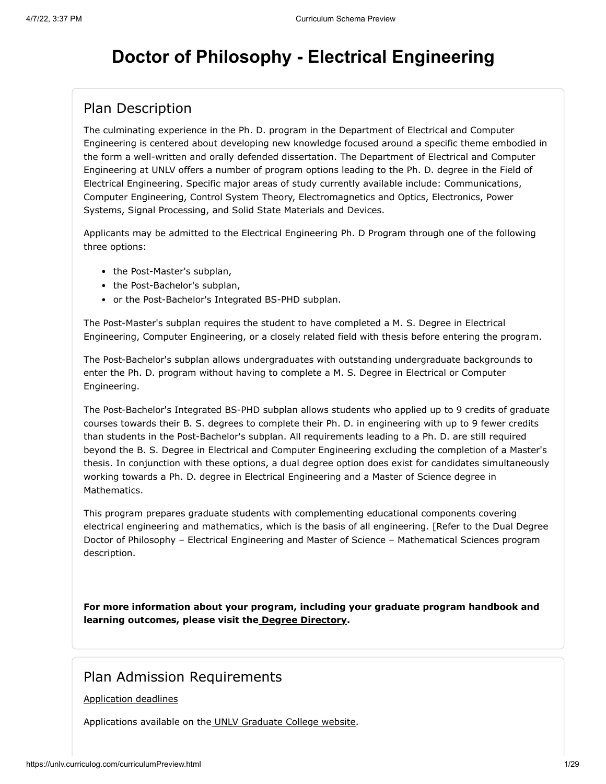# **Doctor of Philosophy - Electrical Engineering**

### Plan Description

The culminating experience in the Ph. D. program in the Department of Electrical and Computer Engineering is centered about developing new knowledge focused around a specific theme embodied in the form a well-written and orally defended dissertation. The Department of Electrical and Computer Engineering at UNLV offers a number of program options leading to the Ph. D. degree in the Field of Electrical Engineering. Specific major areas of study currently available include: Communications, Computer Engineering, Control System Theory, Electromagnetics and Optics, Electronics, Power Systems, Signal Processing, and Solid State Materials and Devices.

Applicants may be admitted to the Electrical Engineering Ph. D Program through one of the following three options:

- the Post-Master's subplan,
- the Post-Bachelor's subplan,
- or the Post-Bachelor's Integrated BS-PHD subplan.

The Post-Master's subplan requires the student to have completed a M. S. Degree in Electrical Engineering, Computer Engineering, or a closely related field with thesis before entering the program.

The Post-Bachelor's subplan allows undergraduates with outstanding undergraduate backgrounds to enter the Ph. D. program without having to complete a M. S. Degree in Electrical or Computer Engineering.

The Post-Bachelor's Integrated BS-PHD subplan allows students who applied up to 9 credits of graduate courses towards their B. S. degrees to complete their Ph. D. in engineering with up to 9 fewer credits than students in the Post-Bachelor's subplan. All requirements leading to a Ph. D. are still required beyond the B. S. Degree in Electrical and Computer Engineering excluding the completion of a Master's thesis. In conjunction with these options, a dual degree option does exist for candidates simultaneously working towards a Ph. D. degree in Electrical Engineering and a Master of Science degree in Mathematics.

This program prepares graduate students with complementing educational components covering electrical engineering and mathematics, which is the basis of all engineering. [Refer to the Dual Degree Doctor of Philosophy – Electrical Engineering and Master of Science – Mathematical Sciences program description.

**For more information about your program, including your graduate program handbook and learning outcomes, please visit the [Degree Directory.](http://www.unlv.edu/degree/phd-electrical-engineering)**

### Plan Admission Requirements

#### [Application deadlines](http://www.unlv.edu/graduatecollege/application-deadlines)

Applications available on th[e UNLV Graduate College website.](http://graduatecollege.unlv.edu/admissions/)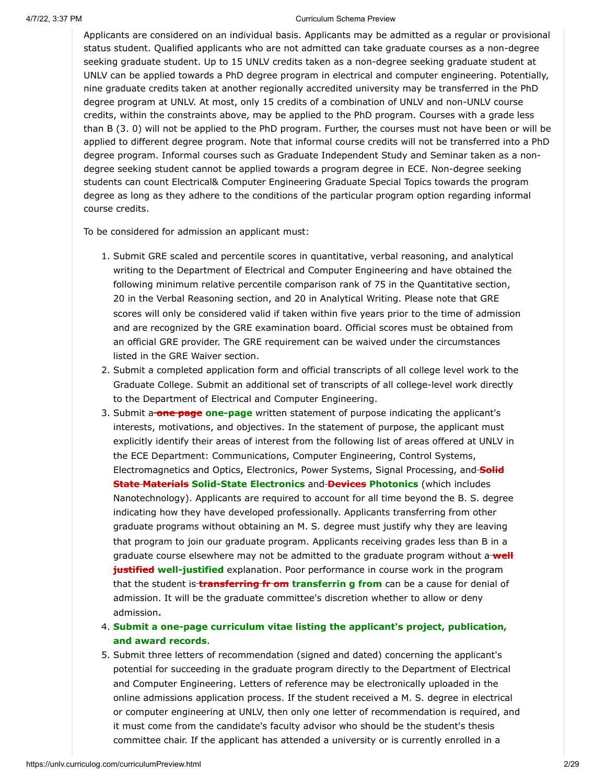Applicants are considered on an individual basis. Applicants may be admitted as a regular or provisional status student. Qualified applicants who are not admitted can take graduate courses as a non-degree seeking graduate student. Up to 15 UNLV credits taken as a non-degree seeking graduate student at UNLV can be applied towards a PhD degree program in electrical and computer engineering. Potentially, nine graduate credits taken at another regionally accredited university may be transferred in the PhD degree program at UNLV. At most, only 15 credits of a combination of UNLV and non-UNLV course credits, within the constraints above, may be applied to the PhD program. Courses with a grade less than B (3. 0) will not be applied to the PhD program. Further, the courses must not have been or will be applied to different degree program. Note that informal course credits will not be transferred into a PhD degree program. Informal courses such as Graduate Independent Study and Seminar taken as a nondegree seeking student cannot be applied towards a program degree in ECE. Non-degree seeking students can count Electrical& Computer Engineering Graduate Special Topics towards the program degree as long as they adhere to the conditions of the particular program option regarding informal course credits.

To be considered for admission an applicant must:

- 1. Submit GRE scaled and percentile scores in quantitative, verbal reasoning, and analytical writing to the Department of Electrical and Computer Engineering and have obtained the following minimum relative percentile comparison rank of 75 in the Quantitative section, 20 in the Verbal Reasoning section, and 20 in Analytical Writing. Please note that GRE scores will only be considered valid if taken within five years prior to the time of admission and are recognized by the GRE examination board. Official scores must be obtained from an official GRE provider. The GRE requirement can be waived under the circumstances listed in the GRE Waiver section.
- 2. Submit a completed application form and official transcripts of all college level work to the Graduate College. Submit an additional set of transcripts of all college-level work directly to the Department of Electrical and Computer Engineering.
- 3. Submit a **one page one-page** written statement of purpose indicating the applicant's interests, motivations, and objectives. In the statement of purpose, the applicant must explicitly identify their areas of interest from the following list of areas offered at UNLV in the ECE Department: Communications, Computer Engineering, Control Systems, Electromagnetics and Optics, Electronics, Power Systems, Signal Processing, and **Solid State Materials Solid-State Electronics** and **Devices Photonics** (which includes Nanotechnology). Applicants are required to account for all time beyond the B. S. degree indicating how they have developed professionally. Applicants transferring from other graduate programs without obtaining an M. S. degree must justify why they are leaving that program to join our graduate program. Applicants receiving grades less than B in a graduate course elsewhere may not be admitted to the graduate program without a **well justified well-justified** explanation. Poor performance in course work in the program that the student is **transferring fr om transferrin g from** can be a cause for denial of admission. It will be the graduate committee's discretion whether to allow or deny admission**.**
- 4. **Submit a one-page curriculum vitae listing the applicant's project, publication, and award records**.
- 5. Submit three letters of recommendation (signed and dated) concerning the applicant's potential for succeeding in the graduate program directly to the Department of Electrical and Computer Engineering. Letters of reference may be electronically uploaded in the online admissions application process. If the student received a M. S. degree in electrical or computer engineering at UNLV, then only one letter of recommendation is required, and it must come from the candidate's faculty advisor who should be the student's thesis committee chair. If the applicant has attended a university or is currently enrolled in a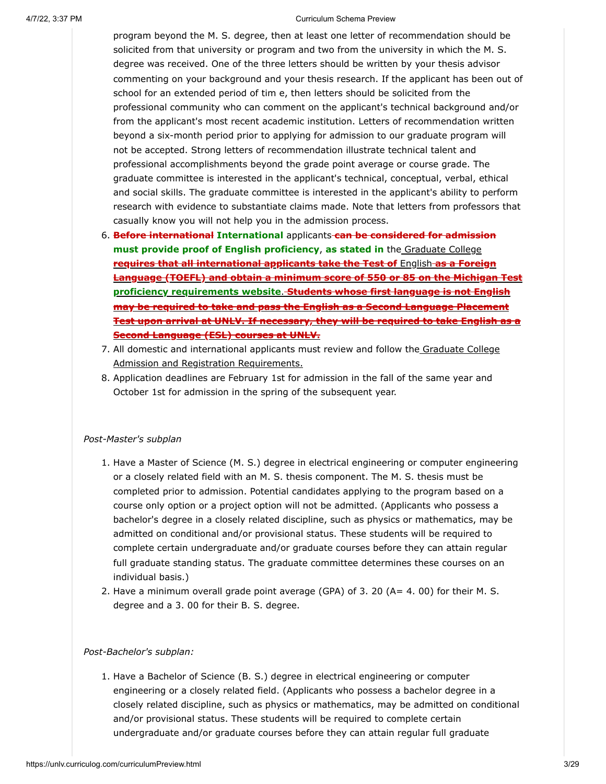program beyond the M. S. degree, then at least one letter of recommendation should be solicited from that university or program and two from the university in which the M. S. degree was received. One of the three letters should be written by your thesis advisor commenting on your background and your thesis research. If the applicant has been out of school for an extended period of tim e, then letters should be solicited from the professional community who can comment on the applicant's technical background and/or from the applicant's most recent academic institution. Letters of recommendation written beyond a six-month period prior to applying for admission to our graduate program will not be accepted. Strong letters of recommendation illustrate technical talent and professional accomplishments beyond the grade point average or course grade. The graduate committee is interested in the applicant's technical, conceptual, verbal, ethical and social skills. The graduate committee is interested in the applicant's ability to perform research with evidence to substantiate claims made. Note that letters from professors that casually know you will not help you in the admission process.

- 6. **Before international International** applicants **can be considered for admission must provide proof of English proficiency**, **as stated in** the Graduate College **requires that all international applicants take the Test of** English **as a Foreign [Language \(TOEFL\) and obtain a minimum score of 550 or 85 on the Michigan Test](https://www.unlv.edu/graduatecollege/english-proficiency) proficiency requirements website**. **Students whose first language is not English may be required to take and pass the English as a Second Language Placement Test upon arrival at UNLV. If necessary, they will be required to take English as a Second Language (ESL) courses at UNLV.**
- 7. [All domestic and international applicants must review and follow the Graduate College](http://www.unlv.edu/graduatecollege/futurestudents) Admission and Registration Requirements.
- 8. Application deadlines are February 1st for admission in the fall of the same year and October 1st for admission in the spring of the subsequent year.

#### *Post-Master's subplan*

- 1. Have a Master of Science (M. S.) degree in electrical engineering or computer engineering or a closely related field with an M. S. thesis component. The M. S. thesis must be completed prior to admission. Potential candidates applying to the program based on a course only option or a project option will not be admitted. (Applicants who possess a bachelor's degree in a closely related discipline, such as physics or mathematics, may be admitted on conditional and/or provisional status. These students will be required to complete certain undergraduate and/or graduate courses before they can attain regular full graduate standing status. The graduate committee determines these courses on an individual basis.)
- 2. Have a minimum overall grade point average (GPA) of 3. 20 (A= 4. 00) for their M. S. degree and a 3. 00 for their B. S. degree.

#### *Post-Bachelor's subplan:*

1. Have a Bachelor of Science (B. S.) degree in electrical engineering or computer engineering or a closely related field. (Applicants who possess a bachelor degree in a closely related discipline, such as physics or mathematics, may be admitted on conditional and/or provisional status. These students will be required to complete certain undergraduate and/or graduate courses before they can attain regular full graduate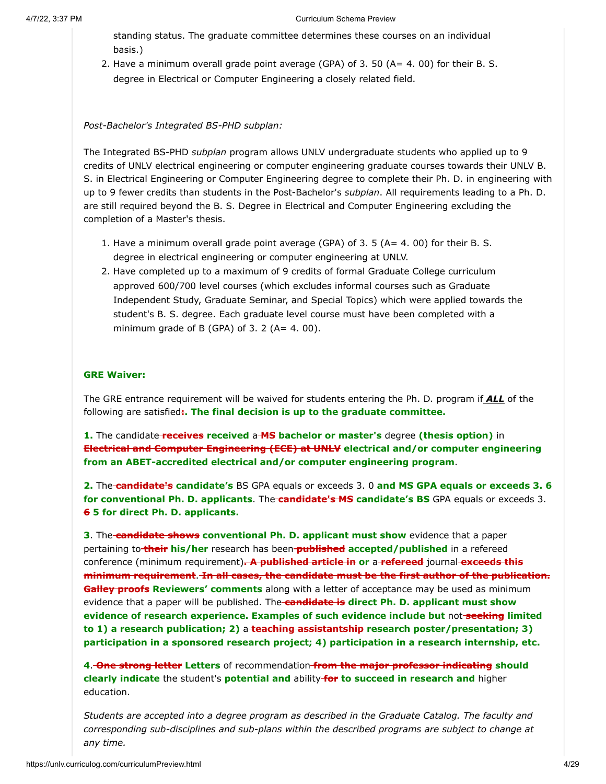standing status. The graduate committee determines these courses on an individual basis.)

2. Have a minimum overall grade point average (GPA) of 3. 50 (A= 4. 00) for their B. S. degree in Electrical or Computer Engineering a closely related field.

#### *Post-Bachelor's Integrated BS-PHD subplan:*

The Integrated BS-PHD *subplan* program allows UNLV undergraduate students who applied up to 9 credits of UNLV electrical engineering or computer engineering graduate courses towards their UNLV B. S. in Electrical Engineering or Computer Engineering degree to complete their Ph. D. in engineering with up to 9 fewer credits than students in the Post-Bachelor's *subplan*. All requirements leading to a Ph. D. are still required beyond the B. S. Degree in Electrical and Computer Engineering excluding the completion of a Master's thesis.

- 1. Have a minimum overall grade point average (GPA) of 3. 5 (A= 4. 00) for their B. S. degree in electrical engineering or computer engineering at UNLV.
- 2. Have completed up to a maximum of 9 credits of formal Graduate College curriculum approved 600/700 level courses (which excludes informal courses such as Graduate Independent Study, Graduate Seminar, and Special Topics) which were applied towards the student's B. S. degree. Each graduate level course must have been completed with a minimum grade of B (GPA) of 3. 2 (A=  $4.00$ ).

#### **GRE Waiver:**

The GRE entrance requirement will be waived for students entering the Ph. D. program if *ALL* of the following are satisfied**:. The final decision is up to the graduate committee.**

**1.** The candidate **receives received** a **MS bachelor or master's** degree **(thesis option)** in **Electrical and Computer Engineering (ECE) at UNLV electrical and/or computer engineering from an ABET-accredited electrical and/or computer engineering program**.

**2.** The **candidate's candidate's** BS GPA equals or exceeds 3. 0 **and MS GPA equals or exceeds 3. 6 for conventional Ph. D. applicants**. The **candidate's MS candidate's BS** GPA equals or exceeds 3. **6 5 for direct Ph. D. applicants.**

**3**. The **candidate shows conventional Ph. D. applicant must show** evidence that a paper pertaining to **their his/her** research has been **published accepted/published** in a refereed conference (minimum requirement)**. A published article in or** a **refereed** journal **exceeds this minimum requirement**. **In all cases, the candidate must be the first author of the publication. Galley proofs Reviewers' comments** along with a letter of acceptance may be used as minimum evidence that a paper will be published. The **candidate is direct Ph. D. applicant must show evidence of research experience. Examples of such evidence include but** not **seeking limited to 1) a research publication; 2)** a **teaching assistantship research poster/presentation; 3) participation in a sponsored research project; 4) participation in a research internship, etc.**

**4**. **One strong letter Letters** of recommendation **from the major professor indicating should clearly indicate** the student's **potential and** ability **for to succeed in research and** higher education.

*Students are accepted into a degree program as described in the Graduate Catalog. The faculty and corresponding sub-disciplines and sub-plans within the described programs are subject to change at any time.*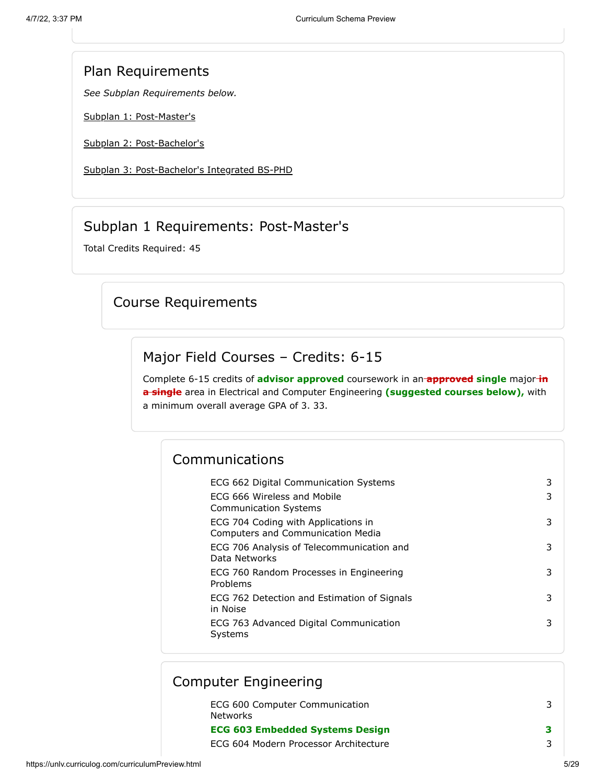#### Plan Requirements

*See Subplan Requirements below.*

[Subplan 1: Post-Master's](#page-4-0)

[Subplan 2: Post-Bachelor's](#page-11-0)

[Subplan 3: Post-Bachelor's Integrated BS-PHD](#page-18-0)

### Subplan 1 Requirements: Post-Master's

<span id="page-4-0"></span>Total Credits Required: 45

### Course Requirements

#### Major Field Courses – Credits: 6-15

Complete 6-15 credits of **advisor approved** coursework in an **approved single** major **in a single** area in Electrical and Computer Engineering **(suggested courses below),** with a minimum overall average GPA of 3. 33.

### Communications

| ECG 662 Digital Communication Systems<br>ECG 666 Wireless and Mobile<br><b>Communication Systems</b> |   |
|------------------------------------------------------------------------------------------------------|---|
| ECG 704 Coding with Applications in<br><b>Computers and Communication Media</b>                      |   |
| ECG 706 Analysis of Telecommunication and<br>Data Networks                                           |   |
| ECG 760 Random Processes in Engineering<br>Problems                                                  | 3 |
| ECG 762 Detection and Estimation of Signals<br>in Noise                                              |   |
| ECG 763 Advanced Digital Communication<br>Systems                                                    |   |

#### ECG 600 Computer Communication Networks 3 **ECG 603 Embedded Systems Design 3** ECG 604 Modern Processor Architecture 3 Computer Engineering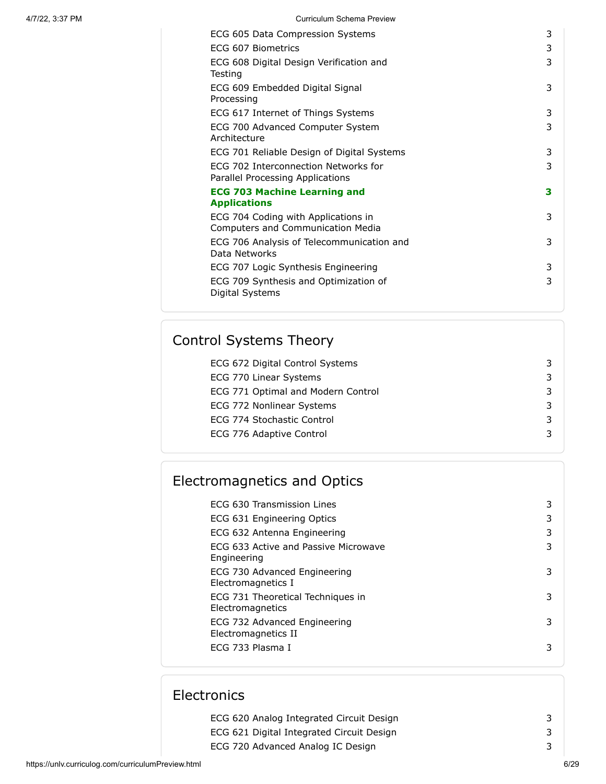| ECG 605 Data Compression Systems                                                | 3 |
|---------------------------------------------------------------------------------|---|
| ECG 607 Biometrics                                                              | 3 |
| ECG 608 Digital Design Verification and<br>Testing                              | 3 |
| ECG 609 Embedded Digital Signal<br>Processing                                   | 3 |
| ECG 617 Internet of Things Systems                                              | 3 |
| ECG 700 Advanced Computer System<br>Architecture                                | 3 |
| ECG 701 Reliable Design of Digital Systems                                      | 3 |
| ECG 702 Interconnection Networks for<br>Parallel Processing Applications        | 3 |
| <b>ECG 703 Machine Learning and</b><br><b>Applications</b>                      | 3 |
| ECG 704 Coding with Applications in<br><b>Computers and Communication Media</b> | 3 |
| ECG 706 Analysis of Telecommunication and<br>Data Networks                      | 3 |
| ECG 707 Logic Synthesis Engineering                                             | 3 |
| ECG 709 Synthesis and Optimization of<br>Digital Systems                        | 3 |
|                                                                                 |   |

# Control Systems Theory

| ECG 672 Digital Control Systems    |  |
|------------------------------------|--|
| ECG 770 Linear Systems             |  |
| ECG 771 Optimal and Modern Control |  |
| ECG 772 Nonlinear Systems          |  |
| ECG 774 Stochastic Control         |  |
| ECG 776 Adaptive Control           |  |
|                                    |  |

| <b>Electromagnetics and Optics</b> |  |  |
|------------------------------------|--|--|
|------------------------------------|--|--|

| ECG 630 Transmission Lines                            | 3 |
|-------------------------------------------------------|---|
| ECG 631 Engineering Optics                            | 3 |
| ECG 632 Antenna Engineering                           | 3 |
| ECG 633 Active and Passive Microwave<br>Engineering   | 3 |
| ECG 730 Advanced Engineering<br>Electromagnetics I    | 3 |
| ECG 731 Theoretical Techniques in<br>Electromagnetics | 3 |
| ECG 732 Advanced Engineering<br>Electromagnetics II   | 3 |
| ECG 733 Plasma I                                      |   |

# Electronics

| ECG 620 Analog Integrated Circuit Design  |  |
|-------------------------------------------|--|
| ECG 621 Digital Integrated Circuit Design |  |
| ECG 720 Advanced Analog IC Design         |  |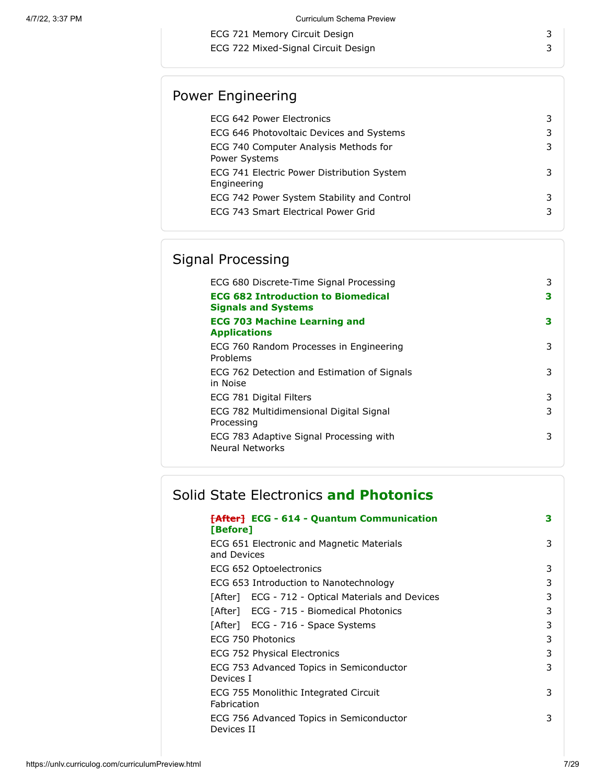ECG 721 Memory Circuit Design 3

ECG 722 Mixed-Signal Circuit Design 3

# Power Engineering

| ECG 642 Power Electronics                                 |  |
|-----------------------------------------------------------|--|
| ECG 646 Photovoltaic Devices and Systems                  |  |
| ECG 740 Computer Analysis Methods for<br>Power Systems    |  |
| ECG 741 Electric Power Distribution System<br>Engineering |  |
| ECG 742 Power System Stability and Control                |  |
| ECG 743 Smart Electrical Power Grid                       |  |

# Signal Processing

| ECG 680 Discrete-Time Signal Processing                                 | 3 |
|-------------------------------------------------------------------------|---|
| <b>ECG 682 Introduction to Biomedical</b><br><b>Signals and Systems</b> | з |
| <b>ECG 703 Machine Learning and</b><br><b>Applications</b>              | 3 |
| ECG 760 Random Processes in Engineering<br>Problems                     | 3 |
| ECG 762 Detection and Estimation of Signals<br>in Noise                 | 3 |
| ECG 781 Digital Filters                                                 | 3 |
| ECG 782 Multidimensional Digital Signal<br>Processing                   | 3 |
| ECG 783 Adaptive Signal Processing with<br><b>Neural Networks</b>       | 3 |

# Solid State Electronics **and Photonics**

| <del>[After]</del> ECG - 614 - Quantum Communication<br>[Before] | 3 |
|------------------------------------------------------------------|---|
| ECG 651 Electronic and Magnetic Materials<br>and Devices         | 3 |
| ECG 652 Optoelectronics                                          | 3 |
| ECG 653 Introduction to Nanotechnology                           | 3 |
| [After] ECG - 712 - Optical Materials and Devices                | 3 |
| [After] ECG - 715 - Biomedical Photonics                         | 3 |
| [After] ECG - 716 - Space Systems                                | 3 |
| ECG 750 Photonics                                                | 3 |
| ECG 752 Physical Electronics                                     | 3 |
| ECG 753 Advanced Topics in Semiconductor<br>Devices I            | 3 |
| ECG 755 Monolithic Integrated Circuit<br>Fabrication             | 3 |
| ECG 756 Advanced Topics in Semiconductor<br>Devices II           | 3 |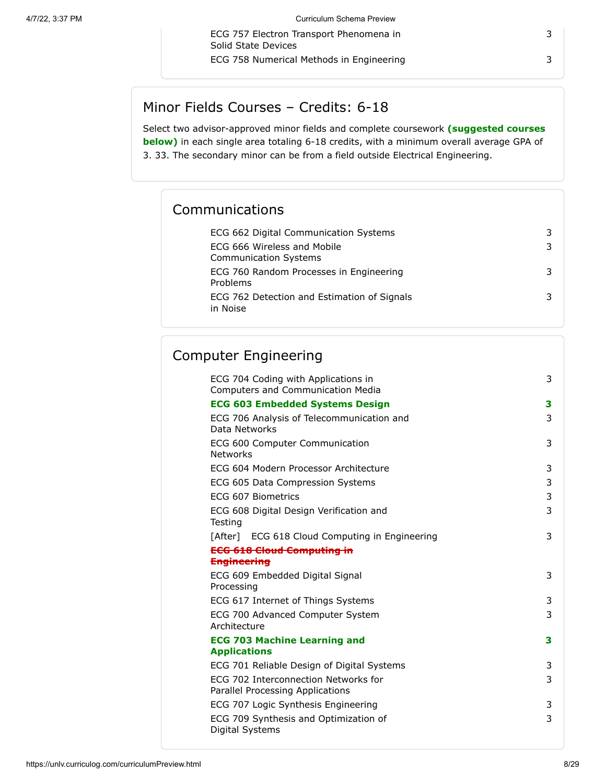ECG 757 Electron Transport Phenomena in

ECG 758 Numerical Methods in Engineering 3

3

# Minor Fields Courses – Credits: 6-18

Solid State Devices

Select two advisor-approved minor fields and complete coursework **(suggested courses below)** in each single area totaling 6-18 credits, with a minimum overall average GPA of 3. 33. The secondary minor can be from a field outside Electrical Engineering.

## Communications

| ECG 662 Digital Communication Systems                       |  |
|-------------------------------------------------------------|--|
| ECG 666 Wireless and Mobile<br><b>Communication Systems</b> |  |
| ECG 760 Random Processes in Engineering<br>Problems         |  |
| ECG 762 Detection and Estimation of Signals<br>in Noise     |  |

## Computer Engineering

| ECG 704 Coding with Applications in<br><b>Computers and Communication Media</b> | 3 |
|---------------------------------------------------------------------------------|---|
| <b>ECG 603 Embedded Systems Design</b>                                          | 3 |
| ECG 706 Analysis of Telecommunication and<br>Data Networks                      | 3 |
| ECG 600 Computer Communication<br><b>Networks</b>                               | 3 |
| ECG 604 Modern Processor Architecture                                           | 3 |
| ECG 605 Data Compression Systems                                                | 3 |
| ECG 607 Biometrics                                                              | 3 |
| ECG 608 Digital Design Verification and<br>Testing                              | 3 |
| [After] ECG 618 Cloud Computing in Engineering                                  | 3 |
| <b>ECG 618 Cloud Computing in</b>                                               |   |
| <b>Engineering</b>                                                              |   |
| ECG 609 Embedded Digital Signal<br>Processing                                   | 3 |
| ECG 617 Internet of Things Systems                                              | 3 |
| ECG 700 Advanced Computer System<br>Architecture                                | 3 |
| <b>ECG 703 Machine Learning and</b><br><b>Applications</b>                      | 3 |
| ECG 701 Reliable Design of Digital Systems                                      | 3 |
| ECG 702 Interconnection Networks for<br>Parallel Processing Applications        | 3 |
| ECG 707 Logic Synthesis Engineering                                             | 3 |
| ECG 709 Synthesis and Optimization of<br>Digital Systems                        | 3 |

https://unlv.curriculog.com/curriculumPreview.html 8/29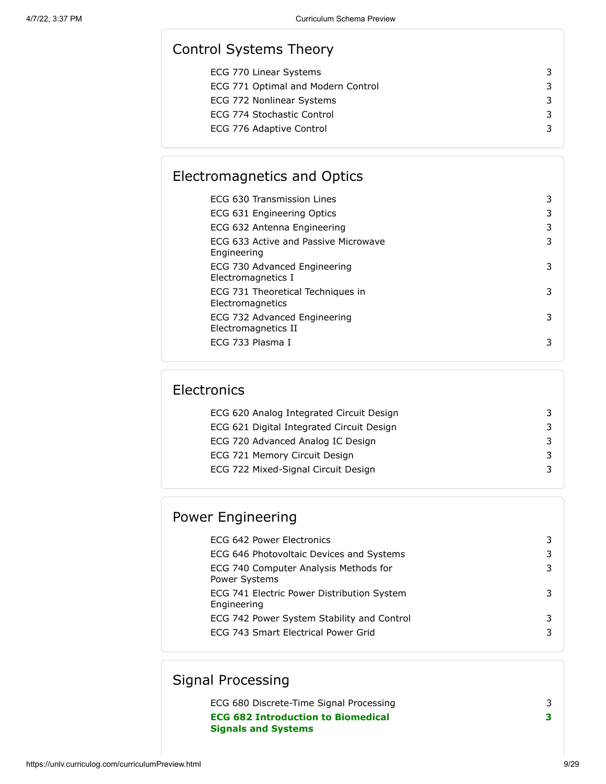## Control Systems Theory

| ECG 770 Linear Systems             | 3 |
|------------------------------------|---|
| ECG 771 Optimal and Modern Control | 3 |
| ECG 772 Nonlinear Systems          | 3 |
| ECG 774 Stochastic Control         | 3 |
| ECG 776 Adaptive Control           | 3 |
|                                    |   |

## Electromagnetics and Optics

| FCG 630 Transmission Lines                            | 3 |
|-------------------------------------------------------|---|
| ECG 631 Engineering Optics                            |   |
| ECG 632 Antenna Engineering                           |   |
| ECG 633 Active and Passive Microwave<br>Engineering   | 3 |
| ECG 730 Advanced Engineering<br>Electromagnetics I    |   |
| ECG 731 Theoretical Techniques in<br>Electromagnetics | 3 |
| ECG 732 Advanced Engineering<br>Electromagnetics II   | 3 |
| FCG 733 Plasma I                                      |   |

## **Electronics**

| ECG 620 Analog Integrated Circuit Design  |  |
|-------------------------------------------|--|
| ECG 621 Digital Integrated Circuit Design |  |
| ECG 720 Advanced Analog IC Design         |  |
| ECG 721 Memory Circuit Design             |  |
| ECG 722 Mixed-Signal Circuit Design       |  |
|                                           |  |

## Power Engineering

| ECG 642 Power Electronics                                     |  |
|---------------------------------------------------------------|--|
| ECG 646 Photovoltaic Devices and Systems                      |  |
| ECG 740 Computer Analysis Methods for<br><b>Power Systems</b> |  |
| ECG 741 Electric Power Distribution System<br>Engineering     |  |
| ECG 742 Power System Stability and Control                    |  |
| ECG 743 Smart Electrical Power Grid                           |  |
|                                                               |  |

## Signal Processing

ECG 680 Discrete-Time Signal Processing 3 **ECG 682 Introduction to Biomedical Signals and Systems 3**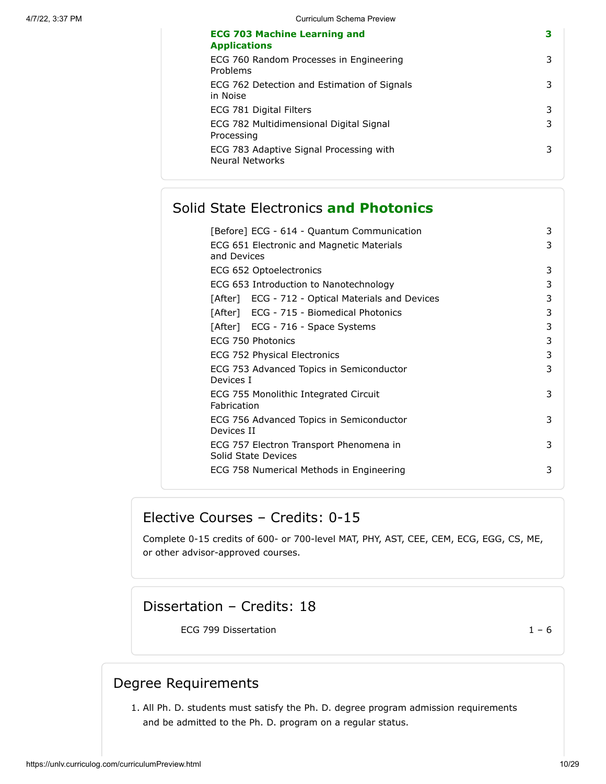| ECG 760 Random Processes in Engineering<br>Problems<br>ECG 762 Detection and Estimation of Signals<br>in Noise<br>ECG 781 Digital Filters<br>3<br>ECG 782 Multidimensional Digital Signal<br>3<br>Processing<br>ECG 783 Adaptive Signal Processing with<br>3<br><b>Neural Networks</b> | <b>ECG 703 Machine Learning and</b><br><b>Applications</b> | з |
|----------------------------------------------------------------------------------------------------------------------------------------------------------------------------------------------------------------------------------------------------------------------------------------|------------------------------------------------------------|---|
|                                                                                                                                                                                                                                                                                        |                                                            | 3 |
|                                                                                                                                                                                                                                                                                        |                                                            | 3 |
|                                                                                                                                                                                                                                                                                        |                                                            |   |
|                                                                                                                                                                                                                                                                                        |                                                            |   |
|                                                                                                                                                                                                                                                                                        |                                                            |   |

### Solid State Electronics **and Photonics**

| [Before] ECG - 614 - Quantum Communication                     | 3 |
|----------------------------------------------------------------|---|
| ECG 651 Electronic and Magnetic Materials<br>and Devices       | 3 |
| ECG 652 Optoelectronics                                        | 3 |
| ECG 653 Introduction to Nanotechnology                         | 3 |
| [After] ECG - 712 - Optical Materials and Devices              | 3 |
| [After] ECG - 715 - Biomedical Photonics                       | 3 |
| [After] ECG - 716 - Space Systems                              | 3 |
| ECG 750 Photonics                                              | 3 |
| ECG 752 Physical Electronics                                   | 3 |
| ECG 753 Advanced Topics in Semiconductor<br>Devices I          | 3 |
| ECG 755 Monolithic Integrated Circuit<br>Fabrication           | 3 |
| ECG 756 Advanced Topics in Semiconductor<br>Devices II         | 3 |
| ECG 757 Electron Transport Phenomena in<br>Solid State Devices | 3 |
| ECG 758 Numerical Methods in Engineering                       | 3 |

### Elective Courses – Credits: 0-15

Complete 0-15 credits of 600- or 700-level MAT, PHY, AST, CEE, CEM, ECG, EGG, CS, ME, or other advisor-approved courses.

## Dissertation – Credits: 18

ECG 799 Dissertation  $1 - 6$ 

#### Degree Requirements

1. All Ph. D. students must satisfy the Ph. D. degree program admission requirements and be admitted to the Ph. D. program on a regular status.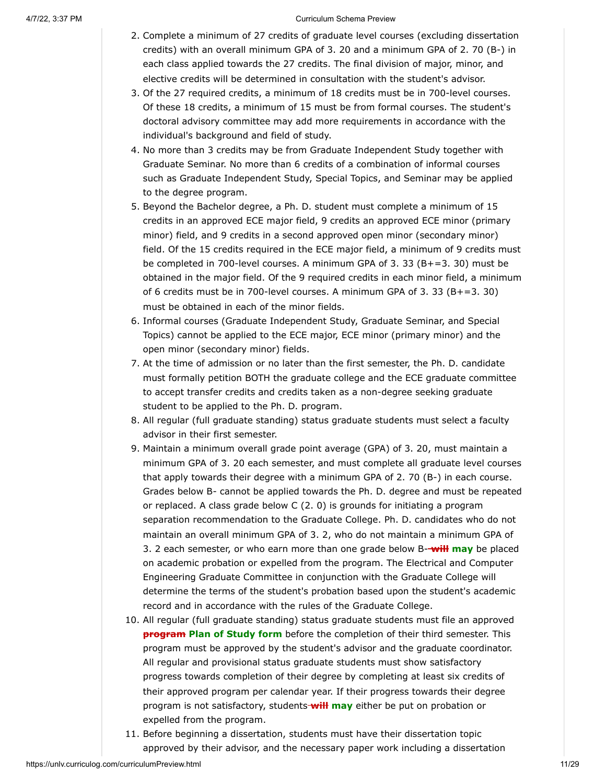- 2. Complete a minimum of 27 credits of graduate level courses (excluding dissertation credits) with an overall minimum GPA of 3. 20 and a minimum GPA of 2. 70 (B-) in each class applied towards the 27 credits. The final division of major, minor, and elective credits will be determined in consultation with the student's advisor.
- 3. Of the 27 required credits, a minimum of 18 credits must be in 700-level courses. Of these 18 credits, a minimum of 15 must be from formal courses. The student's doctoral advisory committee may add more requirements in accordance with the individual's background and field of study.
- 4. No more than 3 credits may be from Graduate Independent Study together with Graduate Seminar. No more than 6 credits of a combination of informal courses such as Graduate Independent Study, Special Topics, and Seminar may be applied to the degree program.
- 5. Beyond the Bachelor degree, a Ph. D. student must complete a minimum of 15 credits in an approved ECE major field, 9 credits an approved ECE minor (primary minor) field, and 9 credits in a second approved open minor (secondary minor) field. Of the 15 credits required in the ECE major field, a minimum of 9 credits must be completed in 700-level courses. A minimum GPA of 3. 33 (B+=3. 30) must be obtained in the major field. Of the 9 required credits in each minor field, a minimum of 6 credits must be in 700-level courses. A minimum GPA of 3. 33 (B+=3. 30) must be obtained in each of the minor fields.
- 6. Informal courses (Graduate Independent Study, Graduate Seminar, and Special Topics) cannot be applied to the ECE major, ECE minor (primary minor) and the open minor (secondary minor) fields.
- 7. At the time of admission or no later than the first semester, the Ph. D. candidate must formally petition BOTH the graduate college and the ECE graduate committee to accept transfer credits and credits taken as a non-degree seeking graduate student to be applied to the Ph. D. program.
- 8. All regular (full graduate standing) status graduate students must select a faculty advisor in their first semester.
- 9. Maintain a minimum overall grade point average (GPA) of 3. 20, must maintain a minimum GPA of 3. 20 each semester, and must complete all graduate level courses that apply towards their degree with a minimum GPA of 2. 70 (B-) in each course. Grades below B- cannot be applied towards the Ph. D. degree and must be repeated or replaced. A class grade below C (2. 0) is grounds for initiating a program separation recommendation to the Graduate College. Ph. D. candidates who do not maintain an overall minimum GPA of 3. 2, who do not maintain a minimum GPA of 3. 2 each semester, or who earn more than one grade below B- **will may** be placed on academic probation or expelled from the program. The Electrical and Computer Engineering Graduate Committee in conjunction with the Graduate College will determine the terms of the student's probation based upon the student's academic record and in accordance with the rules of the Graduate College.
- 10. All regular (full graduate standing) status graduate students must file an approved **program Plan of Study form** before the completion of their third semester. This program must be approved by the student's advisor and the graduate coordinator. All regular and provisional status graduate students must show satisfactory progress towards completion of their degree by completing at least six credits of their approved program per calendar year. If their progress towards their degree program is not satisfactory, students **will may** either be put on probation or expelled from the program.
- 11. Before beginning a dissertation, students must have their dissertation topic approved by their advisor, and the necessary paper work including a dissertation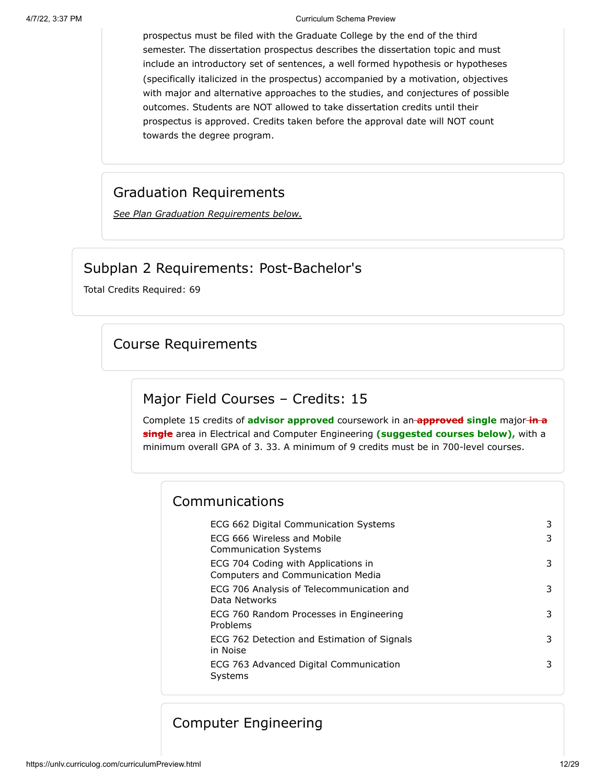prospectus must be filed with the Graduate College by the end of the third semester. The dissertation prospectus describes the dissertation topic and must include an introductory set of sentences, a well formed hypothesis or hypotheses (specifically italicized in the prospectus) accompanied by a motivation, objectives with major and alternative approaches to the studies, and conjectures of possible outcomes. Students are NOT allowed to take dissertation credits until their prospectus is approved. Credits taken before the approval date will NOT count towards the degree program.

#### Graduation Requirements

*See Plan Graduation Requirements below.*

### Subplan 2 Requirements: Post-Bachelor's

<span id="page-11-0"></span>Total Credits Required: 69

### Course Requirements

#### Major Field Courses – Credits: 15

Complete 15 credits of **advisor approved** coursework in an **approved single** major **in a single** area in Electrical and Computer Engineering **(suggested courses below),** with a minimum overall GPA of 3. 33. A minimum of 9 credits must be in 700-level courses.

#### Communications

| ECG 662 Digital Communication Systems                                           |   |
|---------------------------------------------------------------------------------|---|
| ECG 666 Wireless and Mobile<br><b>Communication Systems</b>                     | 3 |
| ECG 704 Coding with Applications in<br><b>Computers and Communication Media</b> | 3 |
| ECG 706 Analysis of Telecommunication and<br>Data Networks                      | 3 |
| ECG 760 Random Processes in Engineering<br>Problems                             | 3 |
| ECG 762 Detection and Estimation of Signals<br>in Noise                         | 3 |
| ECG 763 Advanced Digital Communication<br>Systems                               | 3 |
|                                                                                 |   |

### Computer Engineering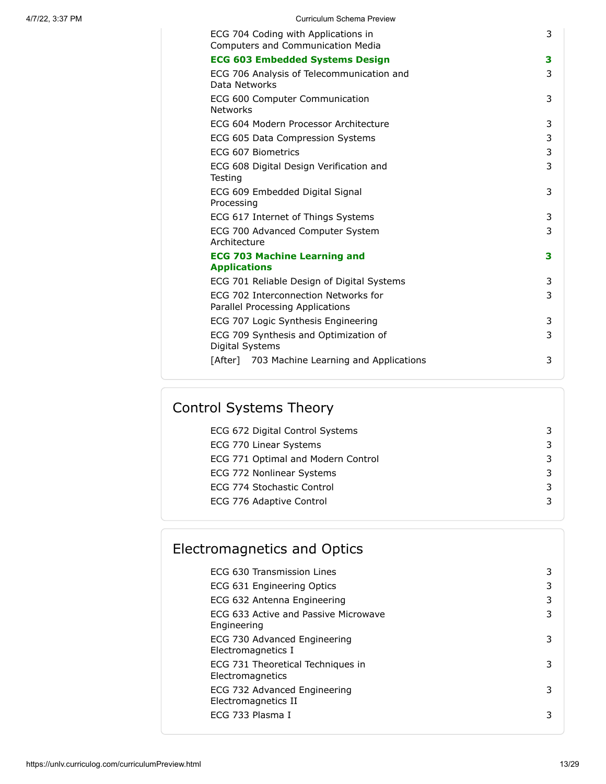| ECG 704 Coding with Applications in<br>Computers and Communication Media | 3 |
|--------------------------------------------------------------------------|---|
| <b>ECG 603 Embedded Systems Design</b>                                   | 3 |
| ECG 706 Analysis of Telecommunication and<br>Data Networks               | 3 |
| ECG 600 Computer Communication<br><b>Networks</b>                        | 3 |
| ECG 604 Modern Processor Architecture                                    | 3 |
| ECG 605 Data Compression Systems                                         | 3 |
| ECG 607 Biometrics                                                       | 3 |
| ECG 608 Digital Design Verification and<br>Testing                       | 3 |
| ECG 609 Embedded Digital Signal<br>Processing                            | 3 |
| ECG 617 Internet of Things Systems                                       | 3 |
| ECG 700 Advanced Computer System<br>Architecture                         | 3 |
| <b>ECG 703 Machine Learning and</b><br><b>Applications</b>               | 3 |
| ECG 701 Reliable Design of Digital Systems                               | 3 |
| ECG 702 Interconnection Networks for<br>Parallel Processing Applications | 3 |
| ECG 707 Logic Synthesis Engineering                                      | 3 |
| ECG 709 Synthesis and Optimization of<br>Digital Systems                 | 3 |
| [After] 703 Machine Learning and Applications                            | 3 |
|                                                                          |   |

# Control Systems Theory

| ECG 672 Digital Control Systems    |  |
|------------------------------------|--|
| ECG 770 Linear Systems             |  |
| ECG 771 Optimal and Modern Control |  |
| ECG 772 Nonlinear Systems          |  |
| ECG 774 Stochastic Control         |  |
| ECG 776 Adaptive Control           |  |
|                                    |  |

| Electromagnetics and Optics                           |   |
|-------------------------------------------------------|---|
| ECG 630 Transmission Lines                            | 3 |
| ECG 631 Engineering Optics                            | 3 |
| ECG 632 Antenna Engineering                           | 3 |
| ECG 633 Active and Passive Microwave<br>Engineering   | 3 |
| ECG 730 Advanced Engineering<br>Electromagnetics I    | 3 |
| ECG 731 Theoretical Techniques in<br>Electromagnetics | 3 |
| ECG 732 Advanced Engineering<br>Electromagnetics II   | 3 |
| ECG 733 Plasma I                                      | 3 |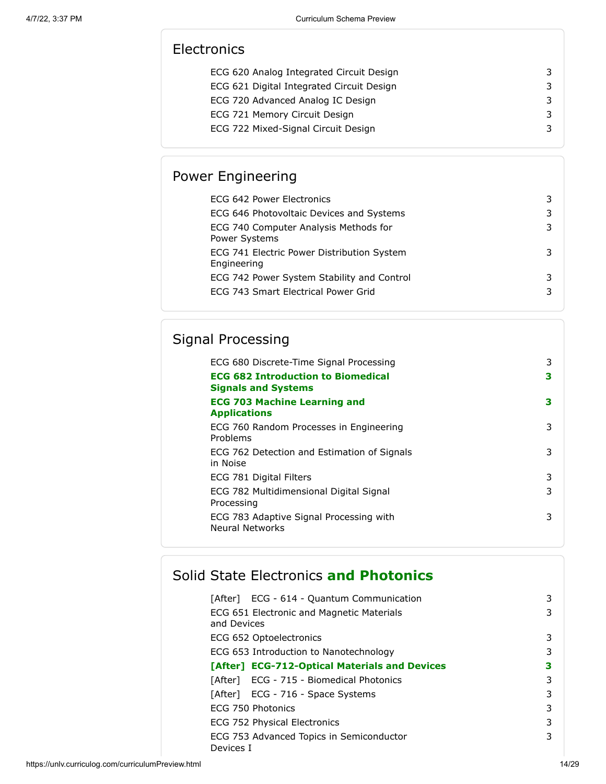# **Electronics**

| ECG 620 Analog Integrated Circuit Design  | 3. |
|-------------------------------------------|----|
| ECG 621 Digital Integrated Circuit Design | 3  |
| ECG 720 Advanced Analog IC Design         | 3  |
| ECG 721 Memory Circuit Design             | 3  |
| ECG 722 Mixed-Signal Circuit Design       |    |

# Power Engineering

| ECG 642 Power Electronics                                 | 3 |
|-----------------------------------------------------------|---|
| ECG 646 Photovoltaic Devices and Systems                  | 3 |
| ECG 740 Computer Analysis Methods for<br>Power Systems    | 3 |
| ECG 741 Electric Power Distribution System<br>Engineering | 3 |
| ECG 742 Power System Stability and Control                | 3 |
| ECG 743 Smart Electrical Power Grid                       | 3 |
|                                                           |   |

# Signal Processing

| ECG 680 Discrete-Time Signal Processing                                 | 3 |
|-------------------------------------------------------------------------|---|
| <b>ECG 682 Introduction to Biomedical</b><br><b>Signals and Systems</b> | 3 |
| <b>ECG 703 Machine Learning and</b><br><b>Applications</b>              | з |
| ECG 760 Random Processes in Engineering<br>Problems                     | 3 |
| ECG 762 Detection and Estimation of Signals<br>in Noise                 | 3 |
| ECG 781 Digital Filters                                                 | 3 |
| ECG 782 Multidimensional Digital Signal<br>Processing                   | 3 |
| ECG 783 Adaptive Signal Processing with<br><b>Neural Networks</b>       | 3 |

# Solid State Electronics **and Photonics**

| [After] ECG - 614 - Quantum Communication             | 3 |
|-------------------------------------------------------|---|
| ECG 651 Electronic and Magnetic Materials             | 3 |
| and Devices                                           |   |
| ECG 652 Optoelectronics                               | 3 |
| ECG 653 Introduction to Nanotechnology                | 3 |
| [After] ECG-712-Optical Materials and Devices         | з |
| [After] ECG - 715 - Biomedical Photonics              | 3 |
| [After] ECG - 716 - Space Systems                     | 3 |
| ECG 750 Photonics                                     | 3 |
| ECG 752 Physical Electronics                          | 3 |
| ECG 753 Advanced Topics in Semiconductor<br>Devices I | 3 |
|                                                       |   |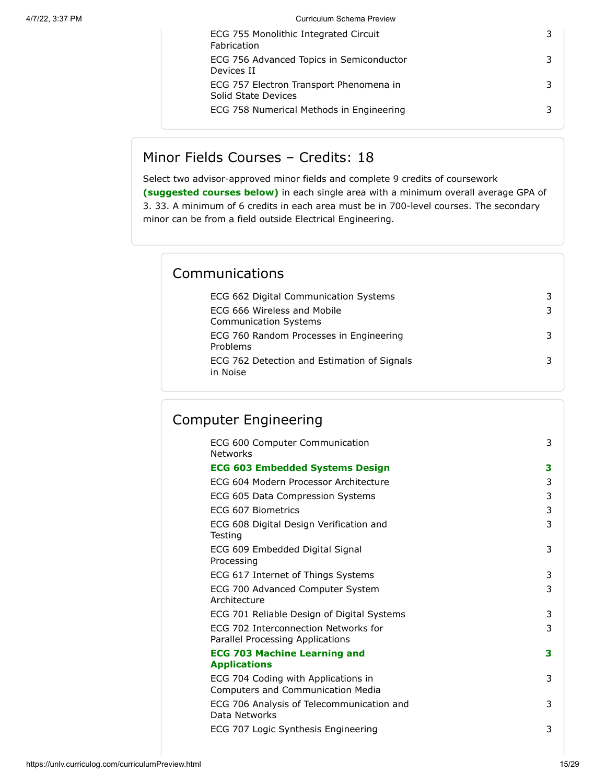| ECG 755 Monolithic Integrated Circuit<br>Fabrication           |  |
|----------------------------------------------------------------|--|
| ECG 756 Advanced Topics in Semiconductor<br>Devices II         |  |
| ECG 757 Electron Transport Phenomena in<br>Solid State Devices |  |
| ECG 758 Numerical Methods in Engineering                       |  |

### Minor Fields Courses – Credits: 18

Select two advisor-approved minor fields and complete 9 credits of coursework **(suggested courses below)** in each single area with a minimum overall average GPA of 3. 33. A minimum of 6 credits in each area must be in 700-level courses. The secondary minor can be from a field outside Electrical Engineering.

## Communications

| ECG 662 Digital Communication Systems                       |  |
|-------------------------------------------------------------|--|
| ECG 666 Wireless and Mobile<br><b>Communication Systems</b> |  |
| ECG 760 Random Processes in Engineering<br>Problems         |  |
| ECG 762 Detection and Estimation of Signals<br>in Noise     |  |

# Computer Engineering

| ECG 600 Computer Communication<br><b>Networks</b>                        | 3                   |
|--------------------------------------------------------------------------|---------------------|
| <b>ECG 603 Embedded Systems Design</b>                                   | 3                   |
| FCG 604 Modern Processor Architecture                                    | 3                   |
| ECG 605 Data Compression Systems                                         | 3                   |
| ECG 607 Biometrics                                                       | 3                   |
| ECG 608 Digital Design Verification and<br>Testing                       | 3                   |
| ECG 609 Embedded Digital Signal<br>Processing                            | 3                   |
| ECG 617 Internet of Things Systems                                       | 3                   |
| ECG 700 Advanced Computer System<br>Architecture                         | 3                   |
| ECG 701 Reliable Design of Digital Systems                               | 3                   |
| ECG 702 Interconnection Networks for<br>Parallel Processing Applications | 3                   |
| <b>ECG 703 Machine Learning and</b>                                      | 3                   |
|                                                                          |                     |
| ECG 704 Coding with Applications in<br>Computers and Communication Media | 3                   |
| ECG 706 Analysis of Telecommunication and<br>Data Networks               | 3                   |
| ECG 707 Logic Synthesis Engineering                                      | 3                   |
|                                                                          | <b>Applications</b> |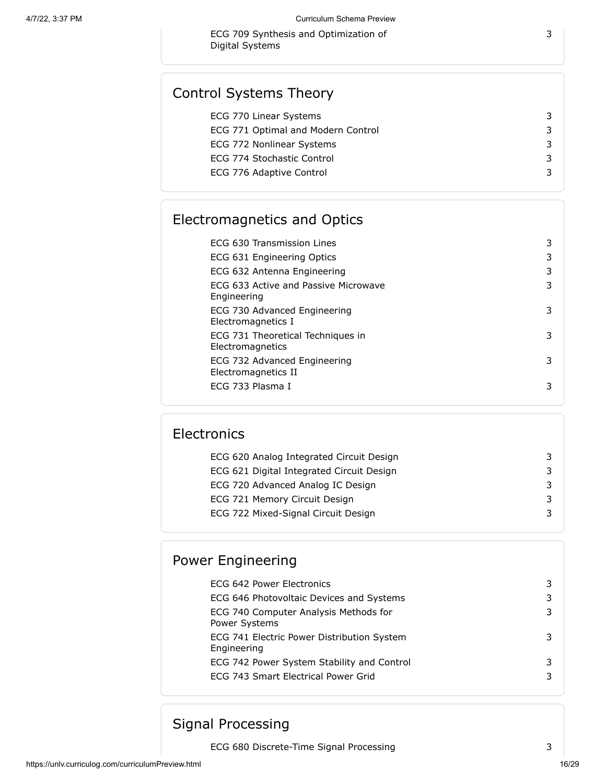ECG 709 Synthesis and Optimization of Digital Systems

## Control Systems Theory

| ECG 770 Linear Systems             |   |
|------------------------------------|---|
| ECG 771 Optimal and Modern Control | 3 |
| ECG 772 Nonlinear Systems          | 3 |
| ECG 774 Stochastic Control         | 3 |
| ECG 776 Adaptive Control           | 3 |
|                                    |   |

# Electromagnetics and Optics

| ECG 630 Transmission Lines                            | 3 |
|-------------------------------------------------------|---|
| ECG 631 Engineering Optics                            | 3 |
| ECG 632 Antenna Engineering                           | 3 |
| ECG 633 Active and Passive Microwave<br>Engineering   | 3 |
| ECG 730 Advanced Engineering<br>Electromagnetics I    | 3 |
| ECG 731 Theoretical Techniques in<br>Electromagnetics | 3 |
| ECG 732 Advanced Engineering<br>Electromagnetics II   | 3 |
| ECG 733 Plasma I                                      | 3 |

# **Electronics**

| ECG 620 Analog Integrated Circuit Design  |  |
|-------------------------------------------|--|
| ECG 621 Digital Integrated Circuit Design |  |
| ECG 720 Advanced Analog IC Design         |  |
| ECG 721 Memory Circuit Design             |  |
| ECG 722 Mixed-Signal Circuit Design       |  |
|                                           |  |

## Power Engineering

| ECG 642 Power Electronics                                 |   |
|-----------------------------------------------------------|---|
| ECG 646 Photovoltaic Devices and Systems                  | 3 |
| ECG 740 Computer Analysis Methods for<br>Power Systems    | 3 |
| ECG 741 Electric Power Distribution System<br>Engineering | 3 |
| ECG 742 Power System Stability and Control                | 3 |
| ECG 743 Smart Electrical Power Grid                       | 3 |
|                                                           |   |

## Signal Processing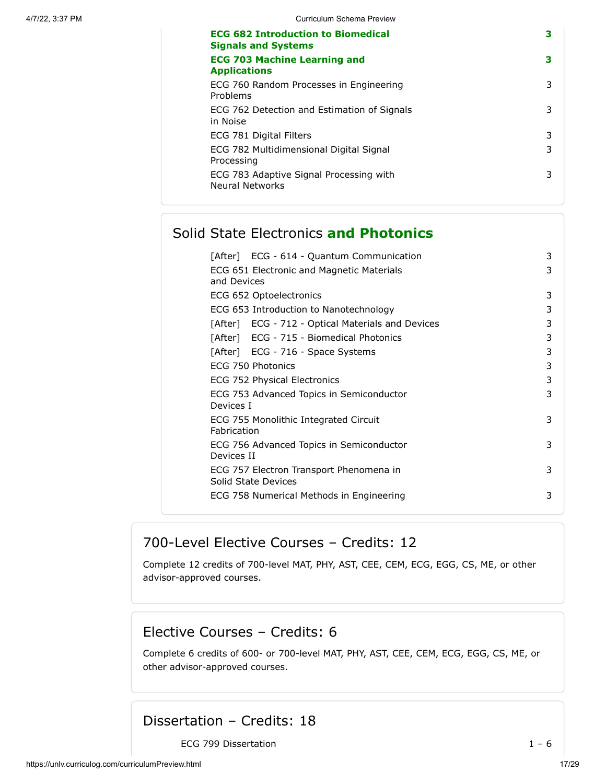| <b>ECG 682 Introduction to Biomedical</b><br><b>Signals and Systems</b> | з |
|-------------------------------------------------------------------------|---|
| <b>ECG 703 Machine Learning and</b><br><b>Applications</b>              | 3 |
| ECG 760 Random Processes in Engineering<br>Problems                     | 3 |
| ECG 762 Detection and Estimation of Signals<br>in Noise                 | 3 |
| ECG 781 Digital Filters                                                 | 3 |
| ECG 782 Multidimensional Digital Signal<br>Processing                   | 3 |
| ECG 783 Adaptive Signal Processing with<br>Neural Networks              | 3 |

# Solid State Electronics **and Photonics**

| [After] ECG - 614 - Quantum Communication                      | 3 |
|----------------------------------------------------------------|---|
| ECG 651 Electronic and Magnetic Materials<br>and Devices       | 3 |
| ECG 652 Optoelectronics                                        | 3 |
| ECG 653 Introduction to Nanotechnology                         | 3 |
| [After] ECG - 712 - Optical Materials and Devices              | 3 |
| [After] ECG - 715 - Biomedical Photonics                       | 3 |
| [After] ECG - 716 - Space Systems                              | 3 |
| ECG 750 Photonics                                              | 3 |
| ECG 752 Physical Electronics                                   | 3 |
| ECG 753 Advanced Topics in Semiconductor<br>Devices I          | 3 |
| ECG 755 Monolithic Integrated Circuit<br>Fabrication           | 3 |
| ECG 756 Advanced Topics in Semiconductor<br>Devices II         | 3 |
| ECG 757 Electron Transport Phenomena in<br>Solid State Devices | 3 |
| ECG 758 Numerical Methods in Engineering                       | 3 |

## 700-Level Elective Courses – Credits: 12

Complete 12 credits of 700-level MAT, PHY, AST, CEE, CEM, ECG, EGG, CS, ME, or other advisor-approved courses.

### Elective Courses – Credits: 6

Complete 6 credits of 600- or 700-level MAT, PHY, AST, CEE, CEM, ECG, EGG, CS, ME, or other advisor-approved courses.

## Dissertation – Credits: 18

ECG 799 Dissertation  $1 - 6$ 

https://unlv.curriculog.com/curriculumPreview.html 17/29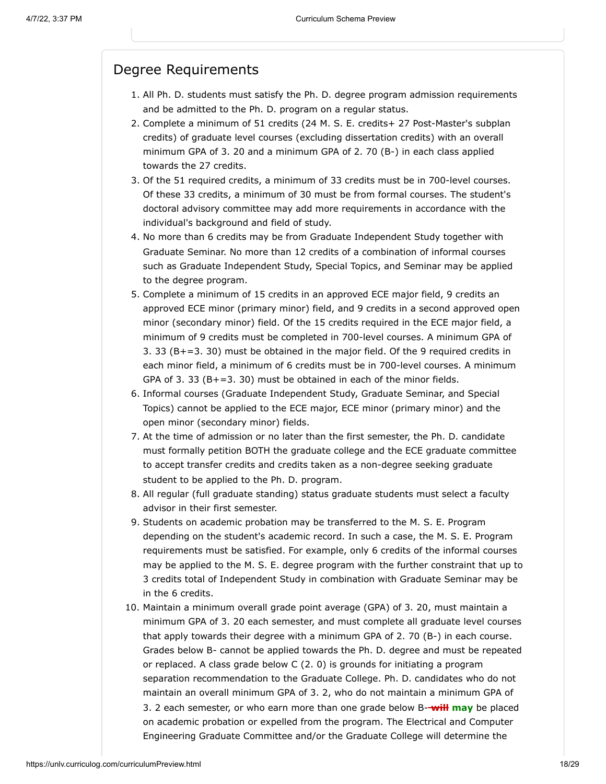#### Degree Requirements

- 1. All Ph. D. students must satisfy the Ph. D. degree program admission requirements and be admitted to the Ph. D. program on a regular status.
- 2. Complete a minimum of 51 credits (24 M. S. E. credits+ 27 Post-Master's subplan credits) of graduate level courses (excluding dissertation credits) with an overall minimum GPA of 3. 20 and a minimum GPA of 2. 70 (B-) in each class applied towards the 27 credits.
- 3. Of the 51 required credits, a minimum of 33 credits must be in 700-level courses. Of these 33 credits, a minimum of 30 must be from formal courses. The student's doctoral advisory committee may add more requirements in accordance with the individual's background and field of study.
- 4. No more than 6 credits may be from Graduate Independent Study together with Graduate Seminar. No more than 12 credits of a combination of informal courses such as Graduate Independent Study, Special Topics, and Seminar may be applied to the degree program.
- 5. Complete a minimum of 15 credits in an approved ECE major field, 9 credits an approved ECE minor (primary minor) field, and 9 credits in a second approved open minor (secondary minor) field. Of the 15 credits required in the ECE major field, a minimum of 9 credits must be completed in 700-level courses. A minimum GPA of 3. 33 (B+=3. 30) must be obtained in the major field. Of the 9 required credits in each minor field, a minimum of 6 credits must be in 700-level courses. A minimum GPA of 3. 33  $(B+=3. 30)$  must be obtained in each of the minor fields.
- 6. Informal courses (Graduate Independent Study, Graduate Seminar, and Special Topics) cannot be applied to the ECE major, ECE minor (primary minor) and the open minor (secondary minor) fields.
- 7. At the time of admission or no later than the first semester, the Ph. D. candidate must formally petition BOTH the graduate college and the ECE graduate committee to accept transfer credits and credits taken as a non-degree seeking graduate student to be applied to the Ph. D. program.
- 8. All regular (full graduate standing) status graduate students must select a faculty advisor in their first semester.
- 9. Students on academic probation may be transferred to the M. S. E. Program depending on the student's academic record. In such a case, the M. S. E. Program requirements must be satisfied. For example, only 6 credits of the informal courses may be applied to the M. S. E. degree program with the further constraint that up to 3 credits total of Independent Study in combination with Graduate Seminar may be in the 6 credits.
- 10. Maintain a minimum overall grade point average (GPA) of 3. 20, must maintain a minimum GPA of 3. 20 each semester, and must complete all graduate level courses that apply towards their degree with a minimum GPA of 2. 70 (B-) in each course. Grades below B- cannot be applied towards the Ph. D. degree and must be repeated or replaced. A class grade below C (2. 0) is grounds for initiating a program separation recommendation to the Graduate College. Ph. D. candidates who do not maintain an overall minimum GPA of 3. 2, who do not maintain a minimum GPA of 3. 2 each semester, or who earn more than one grade below B- **will may** be placed on academic probation or expelled from the program. The Electrical and Computer Engineering Graduate Committee and/or the Graduate College will determine the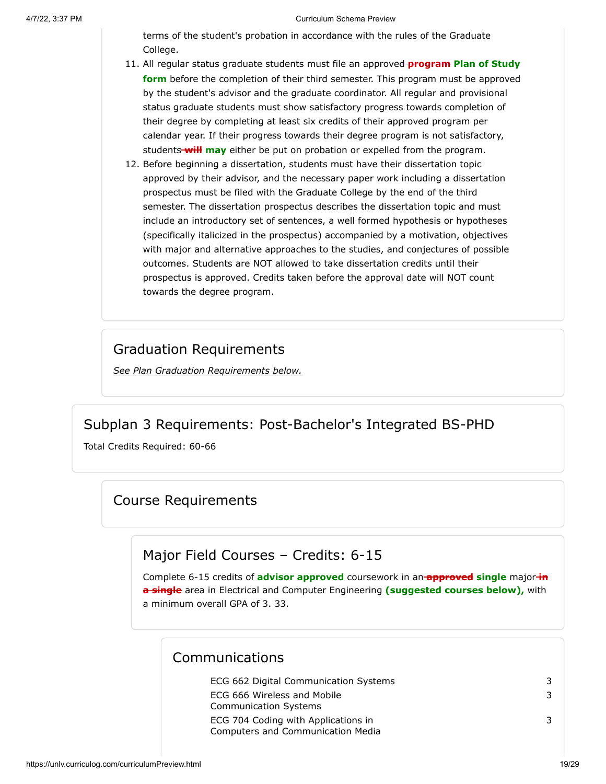terms of the student's probation in accordance with the rules of the Graduate College.

- 11. All regular status graduate students must file an approved **program Plan of Study form** before the completion of their third semester. This program must be approved by the student's advisor and the graduate coordinator. All regular and provisional status graduate students must show satisfactory progress towards completion of their degree by completing at least six credits of their approved program per calendar year. If their progress towards their degree program is not satisfactory, students **will may** either be put on probation or expelled from the program.
- 12. Before beginning a dissertation, students must have their dissertation topic approved by their advisor, and the necessary paper work including a dissertation prospectus must be filed with the Graduate College by the end of the third semester. The dissertation prospectus describes the dissertation topic and must include an introductory set of sentences, a well formed hypothesis or hypotheses (specifically italicized in the prospectus) accompanied by a motivation, objectives with major and alternative approaches to the studies, and conjectures of possible outcomes. Students are NOT allowed to take dissertation credits until their prospectus is approved. Credits taken before the approval date will NOT count towards the degree program.

### Graduation Requirements

*See Plan Graduation Requirements below.*

### Subplan 3 Requirements: Post-Bachelor's Integrated BS-PHD

<span id="page-18-0"></span>Total Credits Required: 60-66

### Course Requirements

### Major Field Courses – Credits: 6-15

Complete 6-15 credits of **advisor approved** coursework in an **approved single** major **in a single** area in Electrical and Computer Engineering **(suggested courses below),** with a minimum overall GPA of 3. 33.

#### Communications

| ECG 662 Digital Communication Systems | 3 |
|---------------------------------------|---|
| ECG 666 Wireless and Mobile           | 3 |
| <b>Communication Systems</b>          |   |
| ECG 704 Coding with Applications in   | 3 |
| Computers and Communication Media     |   |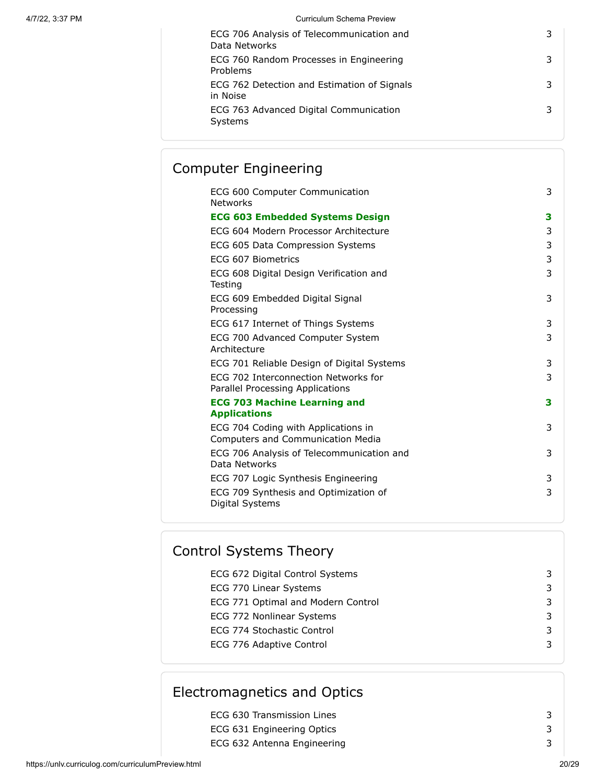| ECG 706 Analysis of Telecommunication and<br>Data Networks |  |
|------------------------------------------------------------|--|
| ECG 760 Random Processes in Engineering<br>Problems        |  |
| ECG 762 Detection and Estimation of Signals<br>in Noise    |  |
| ECG 763 Advanced Digital Communication<br>Systems          |  |

### Computer Engineering

| ECG 600 Computer Communication<br><b>Networks</b>                               | 3 |
|---------------------------------------------------------------------------------|---|
| <b>ECG 603 Embedded Systems Design</b>                                          | 3 |
| ECG 604 Modern Processor Architecture                                           | 3 |
| ECG 605 Data Compression Systems                                                | 3 |
| ECG 607 Biometrics                                                              | 3 |
| ECG 608 Digital Design Verification and<br>Testing                              | 3 |
| ECG 609 Embedded Digital Signal<br>Processing                                   | 3 |
| ECG 617 Internet of Things Systems                                              | 3 |
| ECG 700 Advanced Computer System<br>Architecture                                | 3 |
| ECG 701 Reliable Design of Digital Systems                                      | 3 |
| ECG 702 Interconnection Networks for<br>Parallel Processing Applications        | 3 |
| <b>ECG 703 Machine Learning and</b>                                             | 3 |
| <b>Applications</b>                                                             |   |
| ECG 704 Coding with Applications in<br><b>Computers and Communication Media</b> | 3 |
| ECG 706 Analysis of Telecommunication and<br>Data Networks                      | 3 |
| ECG 707 Logic Synthesis Engineering                                             | 3 |
| ECG 709 Synthesis and Optimization of<br>Digital Systems                        | 3 |
|                                                                                 |   |

# ECG 672 Digital Control Systems 3 ECG 770 Linear Systems 3 ECG 771 Optimal and Modern Control 3 ECG 772 Nonlinear Systems 3 ECG 774 Stochastic Control 3 ECG 776 Adaptive Control 3 Control Systems Theory

### Electromagnetics and Optics

| ECG 630 Transmission Lines  |  |
|-----------------------------|--|
| ECG 631 Engineering Optics  |  |
| ECG 632 Antenna Engineering |  |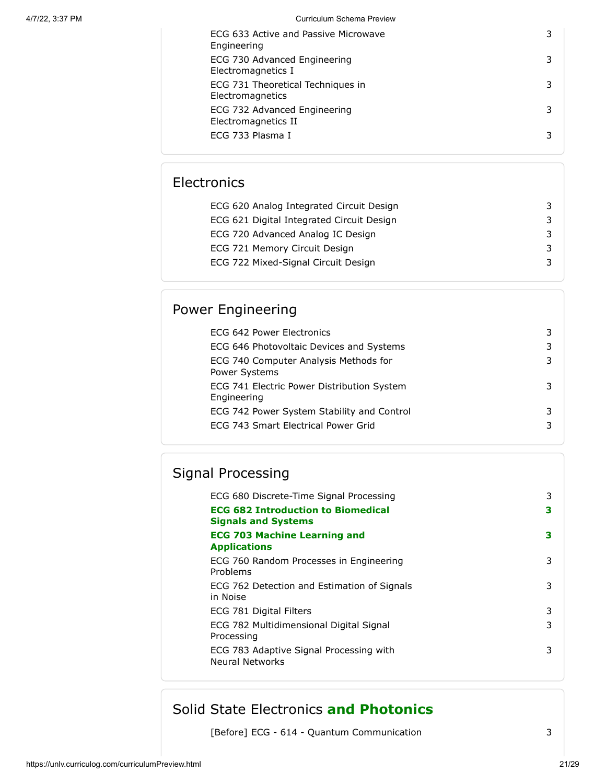| ECG 633 Active and Passive Microwave<br>Engineering   | 3 |
|-------------------------------------------------------|---|
| ECG 730 Advanced Engineering<br>Electromagnetics I    | 3 |
| ECG 731 Theoretical Techniques in<br>Electromagnetics | 3 |
| ECG 732 Advanced Engineering<br>Electromagnetics II   | 3 |
| ECG 733 Plasma I                                      | 3 |

# **Electronics**

| ECG 620 Analog Integrated Circuit Design  |  |
|-------------------------------------------|--|
| ECG 621 Digital Integrated Circuit Design |  |
| ECG 720 Advanced Analog IC Design         |  |
| ECG 721 Memory Circuit Design             |  |
| ECG 722 Mixed-Signal Circuit Design       |  |
|                                           |  |

# Power Engineering

| ECG 642 Power Electronics                                 |  |
|-----------------------------------------------------------|--|
| ECG 646 Photovoltaic Devices and Systems                  |  |
| ECG 740 Computer Analysis Methods for<br>Power Systems    |  |
| ECG 741 Electric Power Distribution System<br>Engineering |  |
| ECG 742 Power System Stability and Control                |  |
| ECG 743 Smart Electrical Power Grid                       |  |

# Signal Processing

| ECG 680 Discrete-Time Signal Processing                                 | 3 |
|-------------------------------------------------------------------------|---|
| <b>ECG 682 Introduction to Biomedical</b><br><b>Signals and Systems</b> | 3 |
| <b>ECG 703 Machine Learning and</b><br><b>Applications</b>              | з |
| ECG 760 Random Processes in Engineering<br>Problems                     | 3 |
| ECG 762 Detection and Estimation of Signals<br>in Noise                 | 3 |
| ECG 781 Digital Filters                                                 | 3 |
| ECG 782 Multidimensional Digital Signal<br>Processing                   | 3 |
| ECG 783 Adaptive Signal Processing with<br>Neural Networks              | 3 |

## Solid State Electronics **and Photonics**

[Before] ECG - 614 - Quantum Communication 3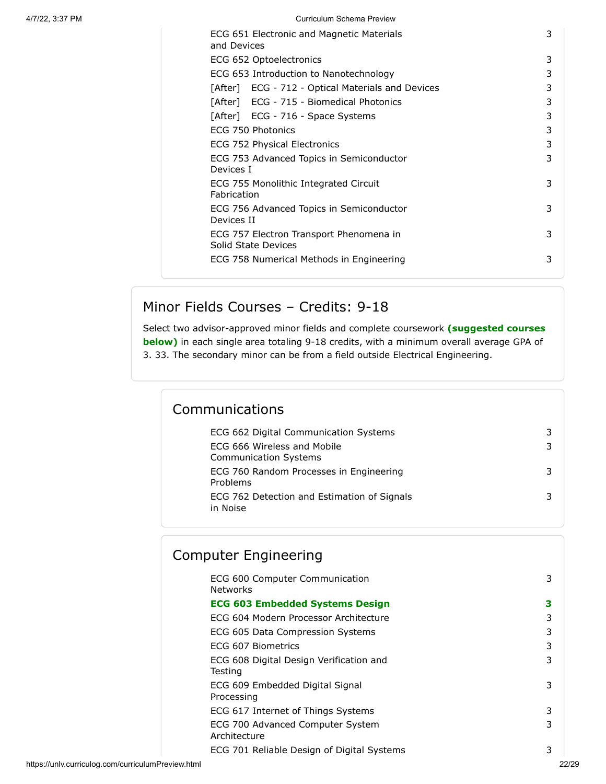| ECG 651 Electronic and Magnetic Materials<br>and Devices       | 3 |
|----------------------------------------------------------------|---|
| ECG 652 Optoelectronics                                        | 3 |
| ECG 653 Introduction to Nanotechnology                         | 3 |
| [After] ECG - 712 - Optical Materials and Devices              | 3 |
| [After] ECG - 715 - Biomedical Photonics                       | 3 |
| [After] ECG - 716 - Space Systems                              | 3 |
| ECG 750 Photonics                                              | 3 |
| ECG 752 Physical Electronics                                   | 3 |
| ECG 753 Advanced Topics in Semiconductor<br>Devices I          | 3 |
| ECG 755 Monolithic Integrated Circuit<br>Fabrication           | 3 |
| ECG 756 Advanced Topics in Semiconductor<br>Devices II         | 3 |
| ECG 757 Electron Transport Phenomena in<br>Solid State Devices | 3 |
| ECG 758 Numerical Methods in Engineering                       | 3 |
|                                                                |   |

# Minor Fields Courses – Credits: 9-18

Select two advisor-approved minor fields and complete coursework **(suggested courses below)** in each single area totaling 9-18 credits, with a minimum overall average GPA of 3. 33. The secondary minor can be from a field outside Electrical Engineering.

# Communications

| ECG 662 Digital Communication Systems                       |  |
|-------------------------------------------------------------|--|
| FCG 666 Wireless and Mobile<br><b>Communication Systems</b> |  |
| ECG 760 Random Processes in Engineering<br>Problems         |  |
| ECG 762 Detection and Estimation of Signals<br>in Noise     |  |

| <b>Computer Engineering</b>                        |   |
|----------------------------------------------------|---|
| ECG 600 Computer Communication<br><b>Networks</b>  | 3 |
| <b>ECG 603 Embedded Systems Design</b>             | З |
| ECG 604 Modern Processor Architecture              | 3 |
| ECG 605 Data Compression Systems                   | 3 |
| ECG 607 Biometrics                                 | 3 |
| ECG 608 Digital Design Verification and<br>Testing | 3 |
| ECG 609 Embedded Digital Signal<br>Processing      | 3 |
| ECG 617 Internet of Things Systems                 | 3 |
| ECG 700 Advanced Computer System<br>Architecture   | 3 |
| ECG 701 Reliable Design of Digital Systems         | 3 |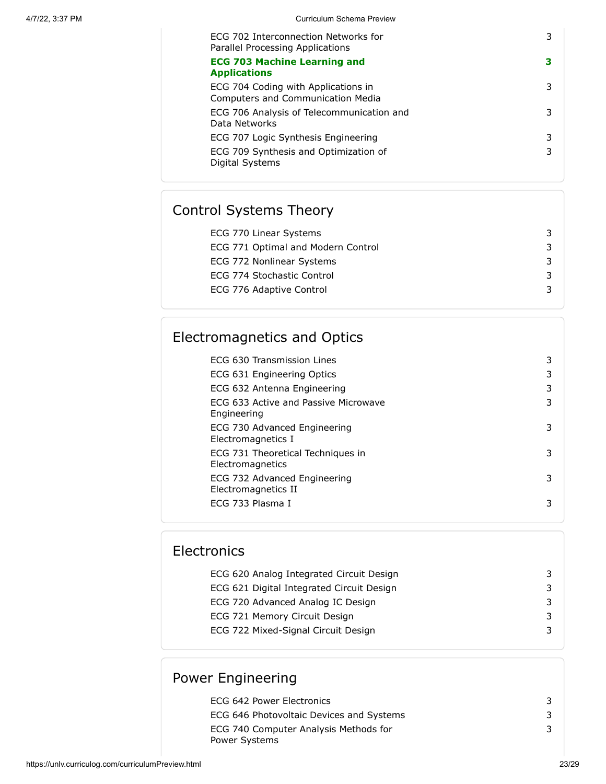| ECG 702 Interconnection Networks for<br>Parallel Processing Applications | 3 |
|--------------------------------------------------------------------------|---|
| <b>ECG 703 Machine Learning and</b><br><b>Applications</b>               | з |
| ECG 704 Coding with Applications in<br>Computers and Communication Media | 3 |
| ECG 706 Analysis of Telecommunication and<br>Data Networks               | 3 |
| ECG 707 Logic Synthesis Engineering                                      | 3 |
| ECG 709 Synthesis and Optimization of<br>Digital Systems                 | 3 |

# Control Systems Theory

| ECG 770 Linear Systems             |  |
|------------------------------------|--|
| ECG 771 Optimal and Modern Control |  |
| ECG 772 Nonlinear Systems          |  |
| ECG 774 Stochastic Control         |  |
| ECG 776 Adaptive Control           |  |

# Electromagnetics and Optics

| ECG 630 Transmission Lines                            | 3 |
|-------------------------------------------------------|---|
| ECG 631 Engineering Optics                            | 3 |
| ECG 632 Antenna Engineering                           | 3 |
| ECG 633 Active and Passive Microwave<br>Engineering   | 3 |
| ECG 730 Advanced Engineering<br>Electromagnetics I    | 3 |
| ECG 731 Theoretical Techniques in<br>Electromagnetics | 3 |
| ECG 732 Advanced Engineering<br>Electromagnetics II   | 3 |
| ECG 733 Plasma I                                      | 3 |

| <b>Electronics</b>                        |  |  |  |
|-------------------------------------------|--|--|--|
| ECG 620 Analog Integrated Circuit Design  |  |  |  |
| ECG 621 Digital Integrated Circuit Design |  |  |  |
| ECG 720 Advanced Analog IC Design         |  |  |  |
| ECG 721 Memory Circuit Design             |  |  |  |
| ECG 722 Mixed-Signal Circuit Design       |  |  |  |

# Power Engineering

| ECG 642 Power Electronics                |  |
|------------------------------------------|--|
| ECG 646 Photovoltaic Devices and Systems |  |
| ECG 740 Computer Analysis Methods for    |  |
| Power Systems                            |  |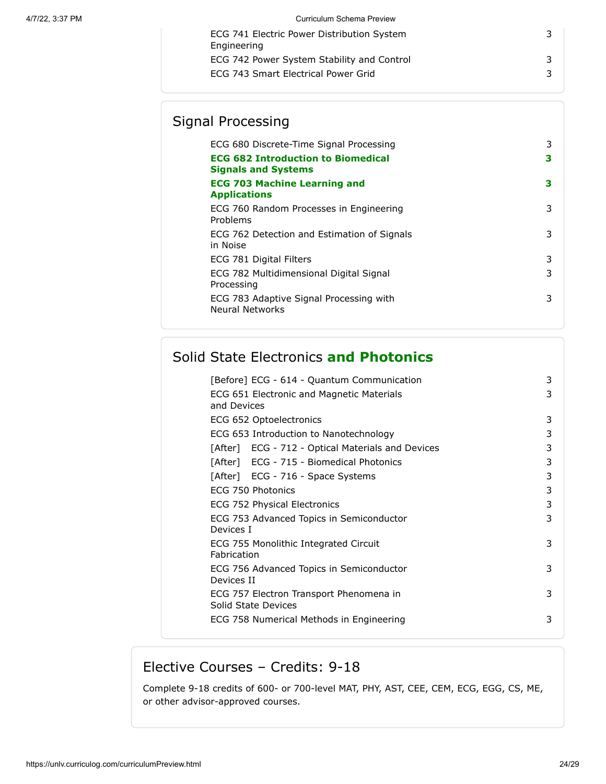# Signal Processing

| ECG 680 Discrete-Time Signal Processing<br><b>ECG 682 Introduction to Biomedical</b><br><b>Signals and Systems</b> | 3<br>3 |
|--------------------------------------------------------------------------------------------------------------------|--------|
| <b>ECG 703 Machine Learning and</b><br><b>Applications</b>                                                         | з      |
| ECG 760 Random Processes in Engineering<br>Problems                                                                | 3      |
| ECG 762 Detection and Estimation of Signals<br>in Noise                                                            | 3      |
| ECG 781 Digital Filters                                                                                            | 3      |
| ECG 782 Multidimensional Digital Signal<br>Processing                                                              | 3      |
| ECG 783 Adaptive Signal Processing with<br><b>Neural Networks</b>                                                  | 3      |
|                                                                                                                    |        |

# Solid State Electronics **and Photonics**

| [Before] ECG - 614 - Quantum Communication                     | 3 |
|----------------------------------------------------------------|---|
| ECG 651 Electronic and Magnetic Materials<br>and Devices       | 3 |
| ECG 652 Optoelectronics                                        | 3 |
| ECG 653 Introduction to Nanotechnology                         | 3 |
| [After] ECG - 712 - Optical Materials and Devices              | 3 |
| [After] ECG - 715 - Biomedical Photonics                       | 3 |
| [After] ECG - 716 - Space Systems                              | 3 |
| ECG 750 Photonics                                              | 3 |
| ECG 752 Physical Electronics                                   | 3 |
| ECG 753 Advanced Topics in Semiconductor<br>Devices I          | 3 |
| ECG 755 Monolithic Integrated Circuit<br>Fabrication           | 3 |
| ECG 756 Advanced Topics in Semiconductor<br>Devices II         | 3 |
| ECG 757 Electron Transport Phenomena in<br>Solid State Devices | 3 |
| ECG 758 Numerical Methods in Engineering                       | 3 |

# Elective Courses – Credits: 9-18

Complete 9-18 credits of 600- or 700-level MAT, PHY, AST, CEE, CEM, ECG, EGG, CS, ME, or other advisor-approved courses.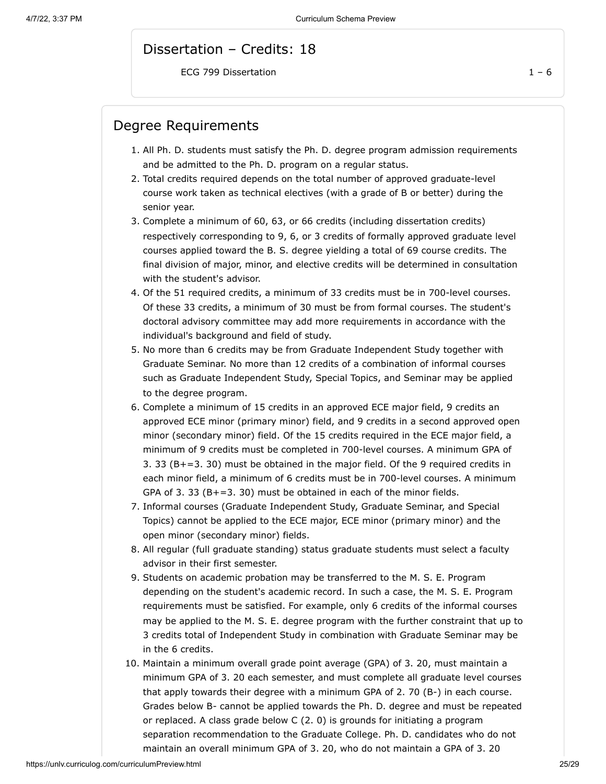#### Dissertation – Credits: 18

ECG 799 Dissertation  $1 - 6$ 

#### Degree Requirements

- 1. All Ph. D. students must satisfy the Ph. D. degree program admission requirements and be admitted to the Ph. D. program on a regular status.
- 2. Total credits required depends on the total number of approved graduate-level course work taken as technical electives (with a grade of B or better) during the senior year.
- 3. Complete a minimum of 60, 63, or 66 credits (including dissertation credits) respectively corresponding to 9, 6, or 3 credits of formally approved graduate level courses applied toward the B. S. degree yielding a total of 69 course credits. The final division of major, minor, and elective credits will be determined in consultation with the student's advisor.
- 4. Of the 51 required credits, a minimum of 33 credits must be in 700-level courses. Of these 33 credits, a minimum of 30 must be from formal courses. The student's doctoral advisory committee may add more requirements in accordance with the individual's background and field of study.
- 5. No more than 6 credits may be from Graduate Independent Study together with Graduate Seminar. No more than 12 credits of a combination of informal courses such as Graduate Independent Study, Special Topics, and Seminar may be applied to the degree program.
- 6. Complete a minimum of 15 credits in an approved ECE major field, 9 credits an approved ECE minor (primary minor) field, and 9 credits in a second approved open minor (secondary minor) field. Of the 15 credits required in the ECE major field, a minimum of 9 credits must be completed in 700-level courses. A minimum GPA of 3. 33 (B+=3. 30) must be obtained in the major field. Of the 9 required credits in each minor field, a minimum of 6 credits must be in 700-level courses. A minimum GPA of 3. 33 ( $B+=3.30$ ) must be obtained in each of the minor fields.
- 7. Informal courses (Graduate Independent Study, Graduate Seminar, and Special Topics) cannot be applied to the ECE major, ECE minor (primary minor) and the open minor (secondary minor) fields.
- 8. All regular (full graduate standing) status graduate students must select a faculty advisor in their first semester.
- 9. Students on academic probation may be transferred to the M. S. E. Program depending on the student's academic record. In such a case, the M. S. E. Program requirements must be satisfied. For example, only 6 credits of the informal courses may be applied to the M. S. E. degree program with the further constraint that up to 3 credits total of Independent Study in combination with Graduate Seminar may be in the 6 credits.
- 10. Maintain a minimum overall grade point average (GPA) of 3. 20, must maintain a minimum GPA of 3. 20 each semester, and must complete all graduate level courses that apply towards their degree with a minimum GPA of 2. 70 (B-) in each course. Grades below B- cannot be applied towards the Ph. D. degree and must be repeated or replaced. A class grade below C (2. 0) is grounds for initiating a program separation recommendation to the Graduate College. Ph. D. candidates who do not maintain an overall minimum GPA of 3. 20, who do not maintain a GPA of 3. 20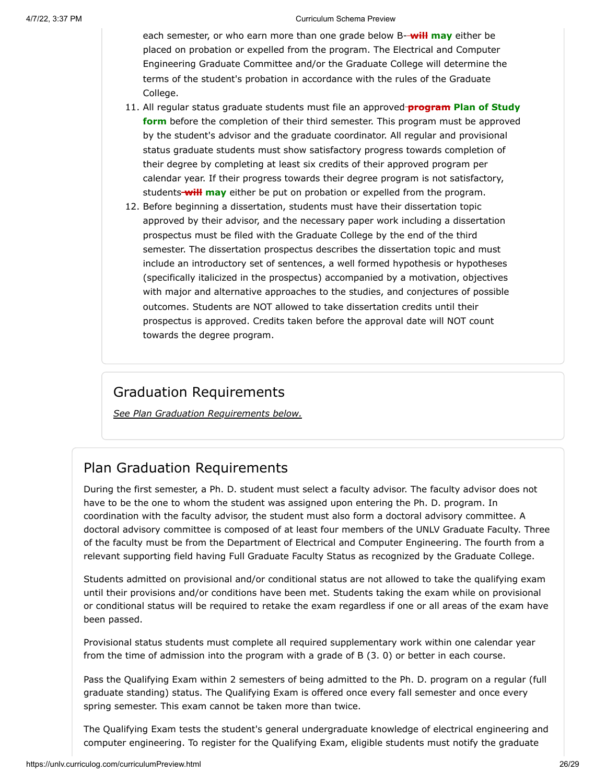each semester, or who earn more than one grade below B- **will may** either be placed on probation or expelled from the program. The Electrical and Computer Engineering Graduate Committee and/or the Graduate College will determine the terms of the student's probation in accordance with the rules of the Graduate College.

- 11. All regular status graduate students must file an approved **program Plan of Study form** before the completion of their third semester. This program must be approved by the student's advisor and the graduate coordinator. All regular and provisional status graduate students must show satisfactory progress towards completion of their degree by completing at least six credits of their approved program per calendar year. If their progress towards their degree program is not satisfactory, students **will may** either be put on probation or expelled from the program.
- 12. Before beginning a dissertation, students must have their dissertation topic approved by their advisor, and the necessary paper work including a dissertation prospectus must be filed with the Graduate College by the end of the third semester. The dissertation prospectus describes the dissertation topic and must include an introductory set of sentences, a well formed hypothesis or hypotheses (specifically italicized in the prospectus) accompanied by a motivation, objectives with major and alternative approaches to the studies, and conjectures of possible outcomes. Students are NOT allowed to take dissertation credits until their prospectus is approved. Credits taken before the approval date will NOT count towards the degree program.

## Graduation Requirements

*See Plan Graduation Requirements below.*

## Plan Graduation Requirements

During the first semester, a Ph. D. student must select a faculty advisor. The faculty advisor does not have to be the one to whom the student was assigned upon entering the Ph. D. program. In coordination with the faculty advisor, the student must also form a doctoral advisory committee. A doctoral advisory committee is composed of at least four members of the UNLV Graduate Faculty. Three of the faculty must be from the Department of Electrical and Computer Engineering. The fourth from a relevant supporting field having Full Graduate Faculty Status as recognized by the Graduate College.

Students admitted on provisional and/or conditional status are not allowed to take the qualifying exam until their provisions and/or conditions have been met. Students taking the exam while on provisional or conditional status will be required to retake the exam regardless if one or all areas of the exam have been passed.

Provisional status students must complete all required supplementary work within one calendar year from the time of admission into the program with a grade of B (3. 0) or better in each course.

Pass the Qualifying Exam within 2 semesters of being admitted to the Ph. D. program on a regular (full graduate standing) status. The Qualifying Exam is offered once every fall semester and once every spring semester. This exam cannot be taken more than twice.

The Qualifying Exam tests the student's general undergraduate knowledge of electrical engineering and computer engineering. To register for the Qualifying Exam, eligible students must notify the graduate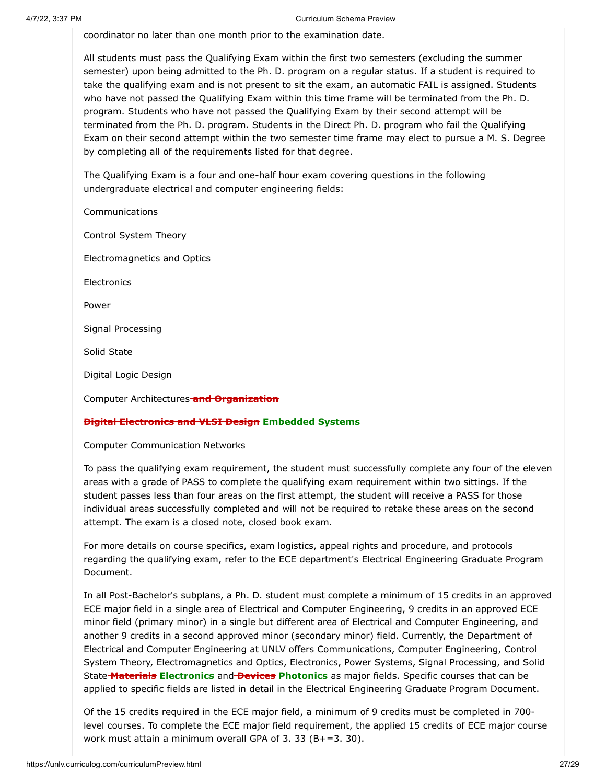coordinator no later than one month prior to the examination date.

All students must pass the Qualifying Exam within the first two semesters (excluding the summer semester) upon being admitted to the Ph. D. program on a regular status. If a student is required to take the qualifying exam and is not present to sit the exam, an automatic FAIL is assigned. Students who have not passed the Qualifying Exam within this time frame will be terminated from the Ph. D. program. Students who have not passed the Qualifying Exam by their second attempt will be terminated from the Ph. D. program. Students in the Direct Ph. D. program who fail the Qualifying Exam on their second attempt within the two semester time frame may elect to pursue a M. S. Degree by completing all of the requirements listed for that degree.

The Qualifying Exam is a four and one-half hour exam covering questions in the following undergraduate electrical and computer engineering fields:

**Communications** 

Control System Theory

Electromagnetics and Optics

**Electronics** 

Power

Signal Processing

Solid State

Digital Logic Design

Computer Architectures **and Organization**

#### **Digital Electronics and VLSI Design Embedded Systems**

Computer Communication Networks

To pass the qualifying exam requirement, the student must successfully complete any four of the eleven areas with a grade of PASS to complete the qualifying exam requirement within two sittings. If the student passes less than four areas on the first attempt, the student will receive a PASS for those individual areas successfully completed and will not be required to retake these areas on the second attempt. The exam is a closed note, closed book exam.

For more details on course specifics, exam logistics, appeal rights and procedure, and protocols regarding the qualifying exam, refer to the ECE department's Electrical Engineering Graduate Program Document.

In all Post-Bachelor's subplans, a Ph. D. student must complete a minimum of 15 credits in an approved ECE major field in a single area of Electrical and Computer Engineering, 9 credits in an approved ECE minor field (primary minor) in a single but different area of Electrical and Computer Engineering, and another 9 credits in a second approved minor (secondary minor) field. Currently, the Department of Electrical and Computer Engineering at UNLV offers Communications, Computer Engineering, Control System Theory, Electromagnetics and Optics, Electronics, Power Systems, Signal Processing, and Solid State **Materials Electronics** and **Devices Photonics** as major fields. Specific courses that can be applied to specific fields are listed in detail in the Electrical Engineering Graduate Program Document.

Of the 15 credits required in the ECE major field, a minimum of 9 credits must be completed in 700 level courses. To complete the ECE major field requirement, the applied 15 credits of ECE major course work must attain a minimum overall GPA of 3. 33 (B+=3. 30).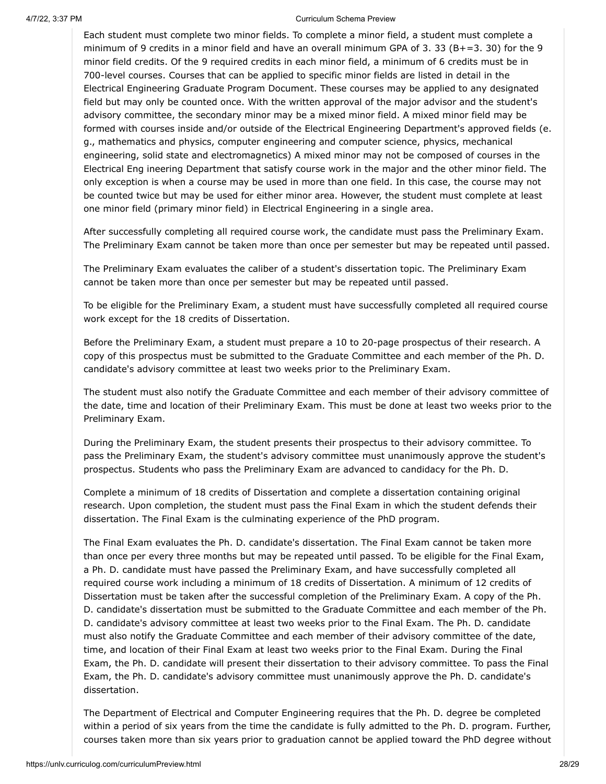Each student must complete two minor fields. To complete a minor field, a student must complete a minimum of 9 credits in a minor field and have an overall minimum GPA of 3. 33 (B+=3. 30) for the 9 minor field credits. Of the 9 required credits in each minor field, a minimum of 6 credits must be in 700-level courses. Courses that can be applied to specific minor fields are listed in detail in the Electrical Engineering Graduate Program Document. These courses may be applied to any designated field but may only be counted once. With the written approval of the major advisor and the student's advisory committee, the secondary minor may be a mixed minor field. A mixed minor field may be formed with courses inside and/or outside of the Electrical Engineering Department's approved fields (e. g., mathematics and physics, computer engineering and computer science, physics, mechanical engineering, solid state and electromagnetics) A mixed minor may not be composed of courses in the Electrical Eng ineering Department that satisfy course work in the major and the other minor field. The only exception is when a course may be used in more than one field. In this case, the course may not be counted twice but may be used for either minor area. However, the student must complete at least one minor field (primary minor field) in Electrical Engineering in a single area.

After successfully completing all required course work, the candidate must pass the Preliminary Exam. The Preliminary Exam cannot be taken more than once per semester but may be repeated until passed.

The Preliminary Exam evaluates the caliber of a student's dissertation topic. The Preliminary Exam cannot be taken more than once per semester but may be repeated until passed.

To be eligible for the Preliminary Exam, a student must have successfully completed all required course work except for the 18 credits of Dissertation.

Before the Preliminary Exam, a student must prepare a 10 to 20-page prospectus of their research. A copy of this prospectus must be submitted to the Graduate Committee and each member of the Ph. D. candidate's advisory committee at least two weeks prior to the Preliminary Exam.

The student must also notify the Graduate Committee and each member of their advisory committee of the date, time and location of their Preliminary Exam. This must be done at least two weeks prior to the Preliminary Exam.

During the Preliminary Exam, the student presents their prospectus to their advisory committee. To pass the Preliminary Exam, the student's advisory committee must unanimously approve the student's prospectus. Students who pass the Preliminary Exam are advanced to candidacy for the Ph. D.

Complete a minimum of 18 credits of Dissertation and complete a dissertation containing original research. Upon completion, the student must pass the Final Exam in which the student defends their dissertation. The Final Exam is the culminating experience of the PhD program.

The Final Exam evaluates the Ph. D. candidate's dissertation. The Final Exam cannot be taken more than once per every three months but may be repeated until passed. To be eligible for the Final Exam, a Ph. D. candidate must have passed the Preliminary Exam, and have successfully completed all required course work including a minimum of 18 credits of Dissertation. A minimum of 12 credits of Dissertation must be taken after the successful completion of the Preliminary Exam. A copy of the Ph. D. candidate's dissertation must be submitted to the Graduate Committee and each member of the Ph. D. candidate's advisory committee at least two weeks prior to the Final Exam. The Ph. D. candidate must also notify the Graduate Committee and each member of their advisory committee of the date, time, and location of their Final Exam at least two weeks prior to the Final Exam. During the Final Exam, the Ph. D. candidate will present their dissertation to their advisory committee. To pass the Final Exam, the Ph. D. candidate's advisory committee must unanimously approve the Ph. D. candidate's dissertation.

The Department of Electrical and Computer Engineering requires that the Ph. D. degree be completed within a period of six years from the time the candidate is fully admitted to the Ph. D. program. Further, courses taken more than six years prior to graduation cannot be applied toward the PhD degree without